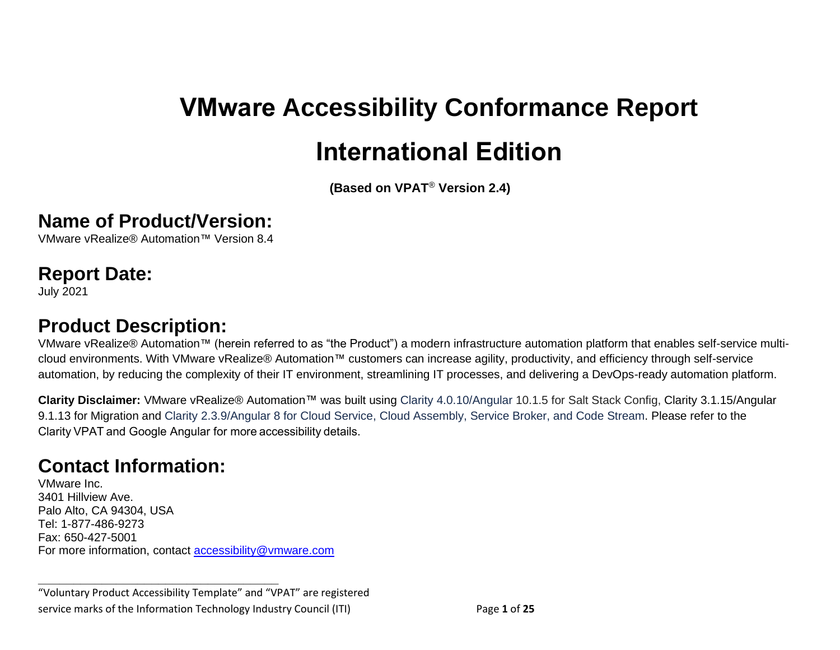# **VMware Accessibility Conformance Report International Edition**

**(Based on VPAT**® **Version 2.4)**

#### **Name of Product/Version:**

VMware vRealize® Automation™ Version 8.4

#### **Report Date:**

July 2021

## **Product Description:**

VMware vRealize® Automation™ (herein referred to as "the Product") a modern infrastructure automation platform that enables self-service multicloud environments. With VMware vRealize® Automation™ customers can increase agility, productivity, and efficiency through self-service automation, by reducing the complexity of their IT environment, streamlining IT processes, and delivering a DevOps-ready automation platform.

**Clarity Disclaimer:** VMware vRealize® Automation™ was built using Clarity 4.0.10/Angular 10.1.5 for Salt Stack Config, Clarity 3.1.15/Angular 9.1.13 for Migration and Clarity 2.3.9/Angular 8 for Cloud Service, Cloud Assembly, Service Broker, and Code Stream. Please refer to the Clarity VPAT and Google Angular for more accessibility details.

# **Contact Information:**

VMware Inc. 3401 Hillview Ave. Palo Alto, CA 94304, USA Tel: 1-877-486-9273 Fax: 650-427-5001 For more information, contact [accessibility@vmware.com](mailto:accessibility@vmware.com)

**\_\_\_\_\_\_\_\_\_\_\_\_\_\_\_\_\_\_\_\_\_\_\_\_\_\_\_\_\_\_\_\_\_\_**

"Voluntary Product Accessibility Template" and "VPAT" are registered service marks of the Information Technology Industry Council (ITI) Page **1** of **25**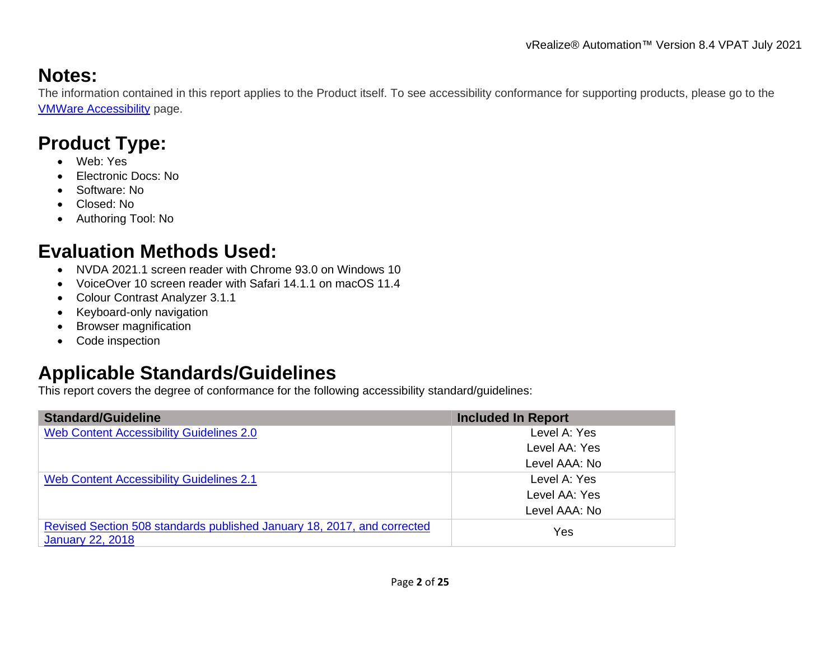# **Notes:**

The information contained in this report applies to the Product itself. To see accessibility conformance for supporting products, please go to the [VMWare Accessibility](https://www.vmware.com/help/accessibility.html) page.

# **Product Type:**

- Web: Yes
- Electronic Docs: No
- Software: No
- Closed: No
- Authoring Tool: No

# **Evaluation Methods Used:**

- NVDA 2021.1 screen reader with Chrome 93.0 on Windows 10
- VoiceOver 10 screen reader with Safari 14.1.1 on macOS 11.4
- Colour Contrast Analyzer 3.1.1
- Keyboard-only navigation
- Browser magnification
- Code inspection

# **Applicable Standards/Guidelines**

This report covers the degree of conformance for the following accessibility standard/guidelines:

| <b>Standard/Guideline</b>                                               | <b>Included In Report</b> |
|-------------------------------------------------------------------------|---------------------------|
| Web Content Accessibility Guidelines 2.0                                | Level A: Yes              |
|                                                                         | Level AA: Yes             |
|                                                                         | Level AAA: No             |
| <b>Web Content Accessibility Guidelines 2.1</b>                         | Level A: Yes              |
|                                                                         | Level AA: Yes             |
|                                                                         | Level AAA: No             |
| Revised Section 508 standards published January 18, 2017, and corrected | Yes                       |
| <b>January 22, 2018</b>                                                 |                           |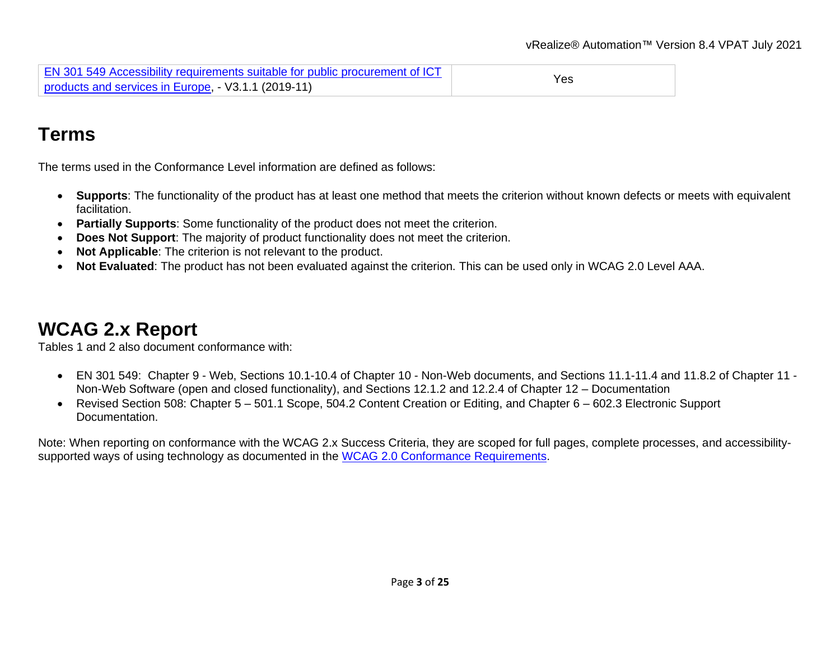| EN 301 549 Accessibility requirements suitable for public procurement of ICT |     |
|------------------------------------------------------------------------------|-----|
| products and services in Europe, - V3.1.1 (2019-11)                          | Yes |

# **Terms**

The terms used in the Conformance Level information are defined as follows:

- **Supports**: The functionality of the product has at least one method that meets the criterion without known defects or meets with equivalent facilitation.
- **Partially Supports**: Some functionality of the product does not meet the criterion.
- **Does Not Support**: The majority of product functionality does not meet the criterion.
- **Not Applicable**: The criterion is not relevant to the product.
- **Not Evaluated**: The product has not been evaluated against the criterion. This can be used only in WCAG 2.0 Level AAA.

# <span id="page-2-0"></span>**WCAG 2.x Report**

Tables 1 and 2 also document conformance with:

- EN 301 549: Chapter 9 Web, Sections 10.1-10.4 of Chapter 10 Non-Web documents, and Sections 11.1-11.4 and 11.8.2 of Chapter 11 Non-Web Software (open and closed functionality), and Sections 12.1.2 and 12.2.4 of Chapter 12 – Documentation
- Revised Section 508: Chapter 5 501.1 Scope, 504.2 Content Creation or Editing, and Chapter 6 602.3 Electronic Support Documentation.

Note: When reporting on conformance with the WCAG 2.x Success Criteria, they are scoped for full pages, complete processes, and accessibility-supported ways of using technology as documented in the [WCAG 2.0 Conformance Requirements.](https://www.w3.org/TR/WCAG20/#conformance-reqs)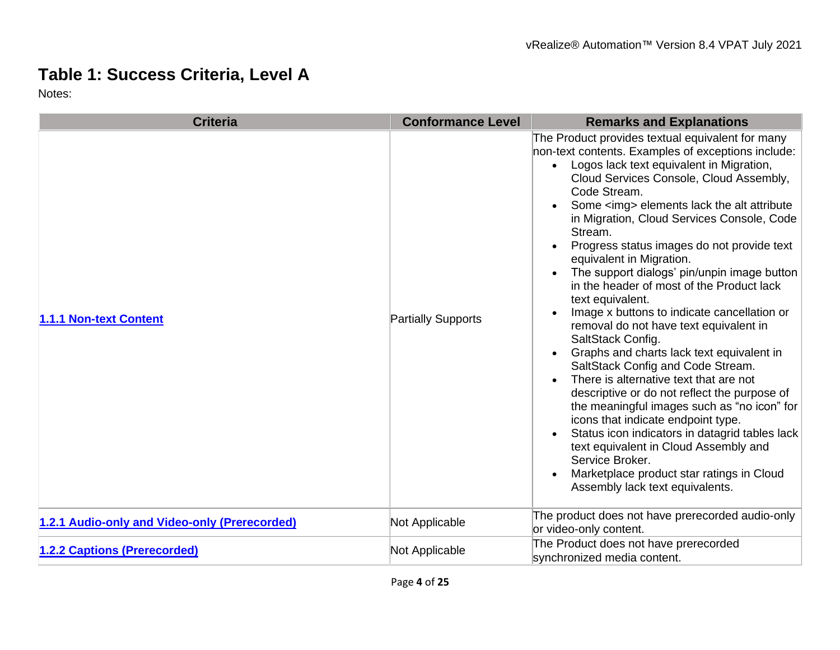## **Table 1: Success Criteria, Level A**

| <b>Criteria</b>                               | <b>Conformance Level</b>  | <b>Remarks and Explanations</b>                                                                                                                                                                                                                                                                                                                                                                                                                                                                                                                                                                                                                                                                                                                                                                                                                                                                                                                                                                                                                                                                                                                                            |
|-----------------------------------------------|---------------------------|----------------------------------------------------------------------------------------------------------------------------------------------------------------------------------------------------------------------------------------------------------------------------------------------------------------------------------------------------------------------------------------------------------------------------------------------------------------------------------------------------------------------------------------------------------------------------------------------------------------------------------------------------------------------------------------------------------------------------------------------------------------------------------------------------------------------------------------------------------------------------------------------------------------------------------------------------------------------------------------------------------------------------------------------------------------------------------------------------------------------------------------------------------------------------|
| 1.1.1 Non-text Content                        | <b>Partially Supports</b> | The Product provides textual equivalent for many<br>non-text contents. Examples of exceptions include:<br>Logos lack text equivalent in Migration,<br>Cloud Services Console, Cloud Assembly,<br>Code Stream.<br>Some <img/> elements lack the alt attribute<br>in Migration, Cloud Services Console, Code<br>Stream.<br>Progress status images do not provide text<br>$\bullet$<br>equivalent in Migration.<br>The support dialogs' pin/unpin image button<br>$\bullet$<br>in the header of most of the Product lack<br>text equivalent.<br>Image x buttons to indicate cancellation or<br>$\bullet$<br>removal do not have text equivalent in<br>SaltStack Config.<br>Graphs and charts lack text equivalent in<br>$\bullet$<br>SaltStack Config and Code Stream.<br>There is alternative text that are not<br>$\bullet$<br>descriptive or do not reflect the purpose of<br>the meaningful images such as "no icon" for<br>icons that indicate endpoint type.<br>Status icon indicators in datagrid tables lack<br>$\bullet$<br>text equivalent in Cloud Assembly and<br>Service Broker.<br>Marketplace product star ratings in Cloud<br>Assembly lack text equivalents. |
| 1.2.1 Audio-only and Video-only (Prerecorded) | Not Applicable            | The product does not have prerecorded audio-only<br>or video-only content.                                                                                                                                                                                                                                                                                                                                                                                                                                                                                                                                                                                                                                                                                                                                                                                                                                                                                                                                                                                                                                                                                                 |
| 1.2.2 Captions (Prerecorded)                  | Not Applicable            | The Product does not have prerecorded<br>synchronized media content.                                                                                                                                                                                                                                                                                                                                                                                                                                                                                                                                                                                                                                                                                                                                                                                                                                                                                                                                                                                                                                                                                                       |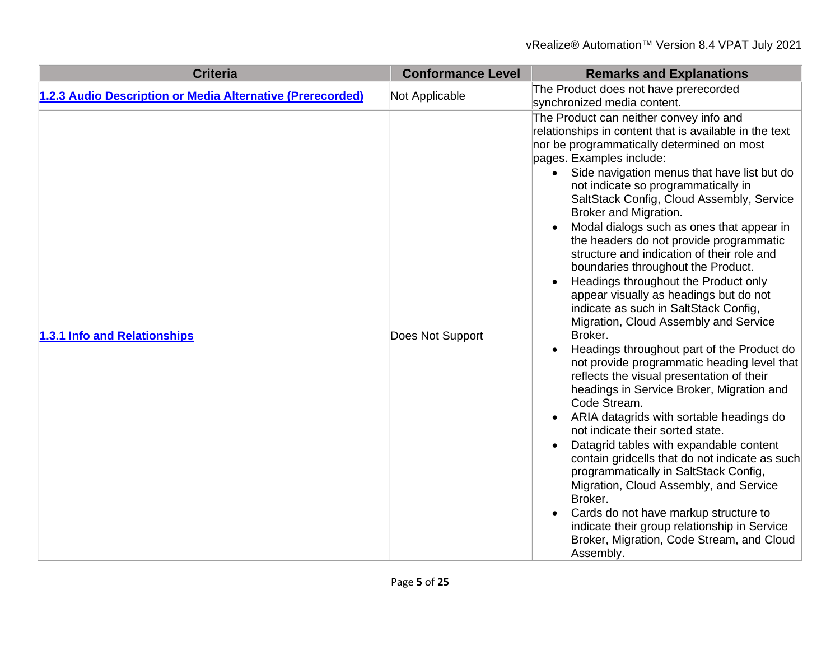| <b>Criteria</b>                                            | <b>Conformance Level</b> | <b>Remarks and Explanations</b>                                                                                                                                                                                                                                                                                                                                                                                                                                                                                                                                                                                                                                                                                                                                                                                                                                                                                                                                                                                                                                                                                                                                                                                                                                                                                                                                                                                       |
|------------------------------------------------------------|--------------------------|-----------------------------------------------------------------------------------------------------------------------------------------------------------------------------------------------------------------------------------------------------------------------------------------------------------------------------------------------------------------------------------------------------------------------------------------------------------------------------------------------------------------------------------------------------------------------------------------------------------------------------------------------------------------------------------------------------------------------------------------------------------------------------------------------------------------------------------------------------------------------------------------------------------------------------------------------------------------------------------------------------------------------------------------------------------------------------------------------------------------------------------------------------------------------------------------------------------------------------------------------------------------------------------------------------------------------------------------------------------------------------------------------------------------------|
| 1.2.3 Audio Description or Media Alternative (Prerecorded) | Not Applicable           | The Product does not have prerecorded<br>synchronized media content.                                                                                                                                                                                                                                                                                                                                                                                                                                                                                                                                                                                                                                                                                                                                                                                                                                                                                                                                                                                                                                                                                                                                                                                                                                                                                                                                                  |
| 1.3.1 Info and Relationships                               | Does Not Support         | The Product can neither convey info and<br>relationships in content that is available in the text<br>nor be programmatically determined on most<br>pages. Examples include:<br>Side navigation menus that have list but do<br>$\bullet$<br>not indicate so programmatically in<br>SaltStack Config, Cloud Assembly, Service<br>Broker and Migration.<br>Modal dialogs such as ones that appear in<br>$\bullet$<br>the headers do not provide programmatic<br>structure and indication of their role and<br>boundaries throughout the Product.<br>Headings throughout the Product only<br>$\bullet$<br>appear visually as headings but do not<br>indicate as such in SaltStack Config,<br>Migration, Cloud Assembly and Service<br>Broker.<br>Headings throughout part of the Product do<br>$\bullet$<br>not provide programmatic heading level that<br>reflects the visual presentation of their<br>headings in Service Broker, Migration and<br>Code Stream.<br>ARIA datagrids with sortable headings do<br>$\bullet$<br>not indicate their sorted state.<br>Datagrid tables with expandable content<br>$\bullet$<br>contain gridcells that do not indicate as such<br>programmatically in SaltStack Config,<br>Migration, Cloud Assembly, and Service<br>Broker.<br>Cards do not have markup structure to<br>indicate their group relationship in Service<br>Broker, Migration, Code Stream, and Cloud<br>Assembly. |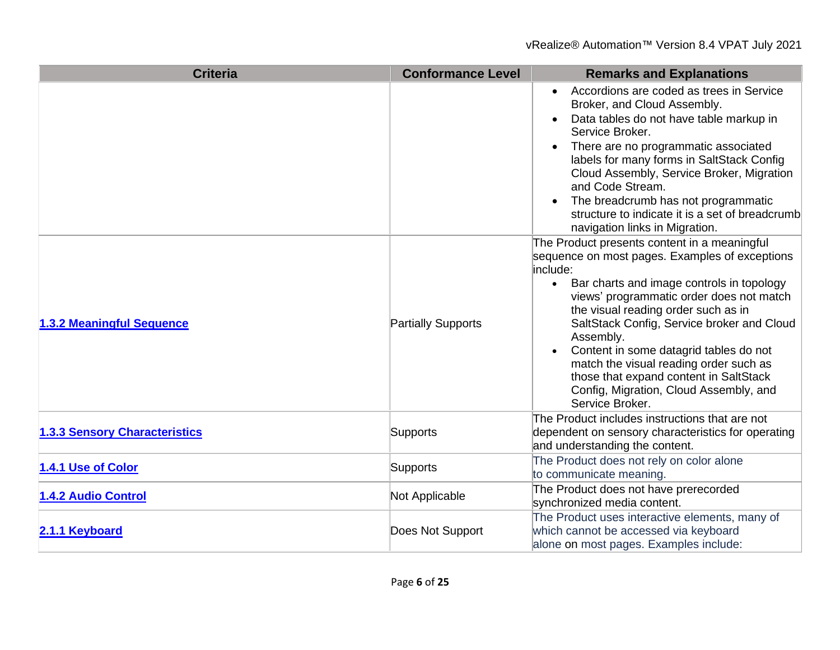| <b>Criteria</b>                      | <b>Conformance Level</b>  | <b>Remarks and Explanations</b>                                                                                                                                                                                                                                                                                                                                                                                                                                                                                 |
|--------------------------------------|---------------------------|-----------------------------------------------------------------------------------------------------------------------------------------------------------------------------------------------------------------------------------------------------------------------------------------------------------------------------------------------------------------------------------------------------------------------------------------------------------------------------------------------------------------|
|                                      |                           | Accordions are coded as trees in Service<br>$\bullet$<br>Broker, and Cloud Assembly.<br>Data tables do not have table markup in<br>$\bullet$<br>Service Broker.<br>There are no programmatic associated<br>labels for many forms in SaltStack Config<br>Cloud Assembly, Service Broker, Migration<br>and Code Stream.<br>The breadcrumb has not programmatic<br>$\bullet$<br>structure to indicate it is a set of breadcrumb<br>navigation links in Migration.                                                  |
| 1.3.2 Meaningful Sequence            | <b>Partially Supports</b> | The Product presents content in a meaningful<br>sequence on most pages. Examples of exceptions<br>include:<br>• Bar charts and image controls in topology<br>views' programmatic order does not match<br>the visual reading order such as in<br>SaltStack Config, Service broker and Cloud<br>Assembly.<br>Content in some datagrid tables do not<br>$\bullet$<br>match the visual reading order such as<br>those that expand content in SaltStack<br>Config, Migration, Cloud Assembly, and<br>Service Broker. |
| <b>1.3.3 Sensory Characteristics</b> | Supports                  | The Product includes instructions that are not<br>dependent on sensory characteristics for operating<br>and understanding the content.                                                                                                                                                                                                                                                                                                                                                                          |
| 1.4.1 Use of Color                   | <b>Supports</b>           | The Product does not rely on color alone<br>to communicate meaning.                                                                                                                                                                                                                                                                                                                                                                                                                                             |
| 1.4.2 Audio Control                  | Not Applicable            | The Product does not have prerecorded<br>synchronized media content.                                                                                                                                                                                                                                                                                                                                                                                                                                            |
| 2.1.1 Keyboard                       | Does Not Support          | The Product uses interactive elements, many of<br>which cannot be accessed via keyboard<br>alone on most pages. Examples include:                                                                                                                                                                                                                                                                                                                                                                               |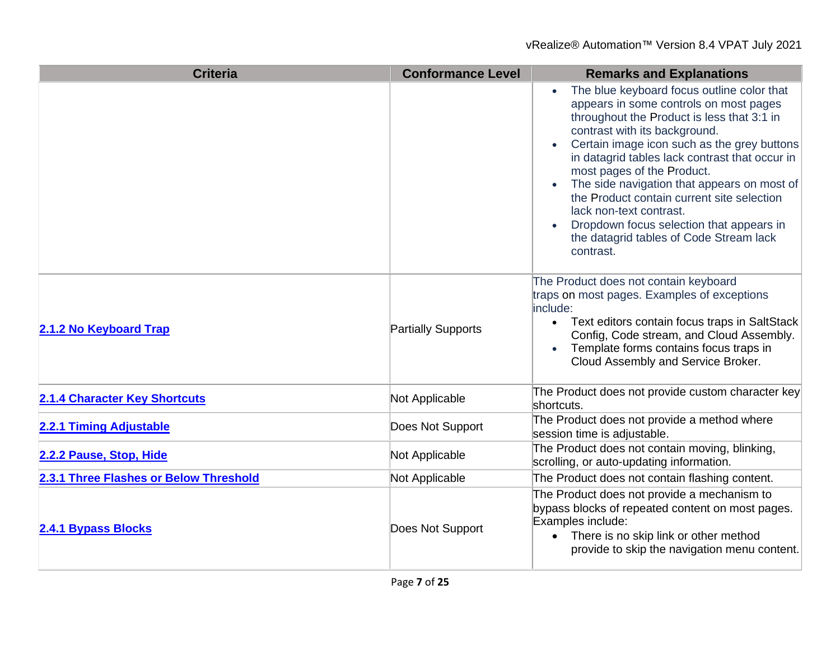| <b>Criteria</b>                        | <b>Conformance Level</b>  | <b>Remarks and Explanations</b>                                                                                                                                                                                                                                                                                                                                                                                                                                                                                                |
|----------------------------------------|---------------------------|--------------------------------------------------------------------------------------------------------------------------------------------------------------------------------------------------------------------------------------------------------------------------------------------------------------------------------------------------------------------------------------------------------------------------------------------------------------------------------------------------------------------------------|
|                                        |                           | The blue keyboard focus outline color that<br>appears in some controls on most pages<br>throughout the Product is less that 3:1 in<br>contrast with its background.<br>Certain image icon such as the grey buttons<br>in datagrid tables lack contrast that occur in<br>most pages of the Product.<br>The side navigation that appears on most of<br>the Product contain current site selection<br>lack non-text contrast.<br>Dropdown focus selection that appears in<br>the datagrid tables of Code Stream lack<br>contrast. |
| 2.1.2 No Keyboard Trap                 | <b>Partially Supports</b> | The Product does not contain keyboard<br>traps on most pages. Examples of exceptions<br>include:<br>Text editors contain focus traps in SaltStack<br>$\bullet$<br>Config, Code stream, and Cloud Assembly.<br>Template forms contains focus traps in<br>Cloud Assembly and Service Broker.                                                                                                                                                                                                                                     |
| <b>2.1.4 Character Key Shortcuts</b>   | Not Applicable            | The Product does not provide custom character key<br>shortcuts.                                                                                                                                                                                                                                                                                                                                                                                                                                                                |
| 2.2.1 Timing Adjustable                | Does Not Support          | The Product does not provide a method where<br>session time is adjustable.                                                                                                                                                                                                                                                                                                                                                                                                                                                     |
| 2.2.2 Pause, Stop, Hide                | Not Applicable            | The Product does not contain moving, blinking,<br>scrolling, or auto-updating information.                                                                                                                                                                                                                                                                                                                                                                                                                                     |
| 2.3.1 Three Flashes or Below Threshold | Not Applicable            | The Product does not contain flashing content.                                                                                                                                                                                                                                                                                                                                                                                                                                                                                 |
| <b>2.4.1 Bypass Blocks</b>             | Does Not Support          | The Product does not provide a mechanism to<br>bypass blocks of repeated content on most pages.<br>Examples include:<br>• There is no skip link or other method<br>provide to skip the navigation menu content.                                                                                                                                                                                                                                                                                                                |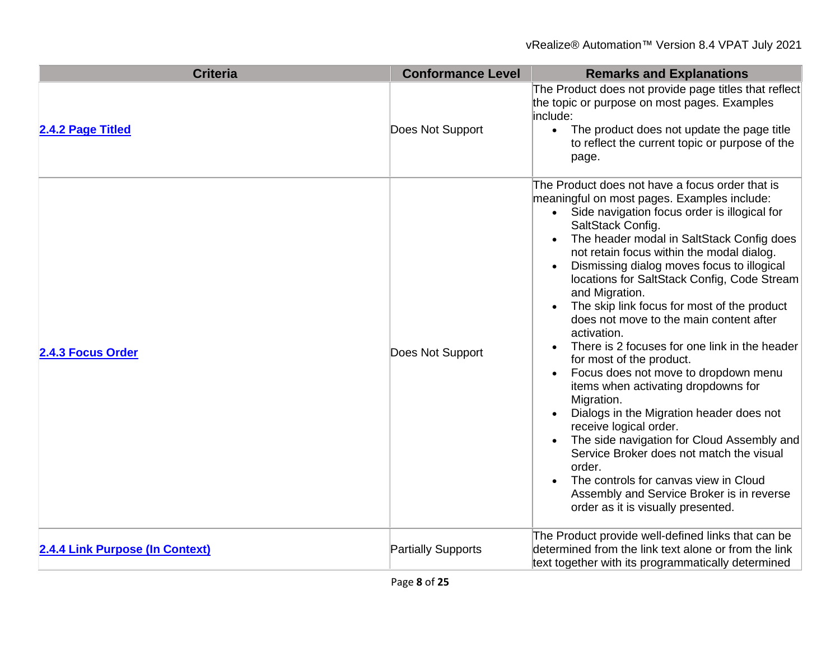| <b>Criteria</b>                 | <b>Conformance Level</b>  | <b>Remarks and Explanations</b>                                                                                                                                                                                                                                                                                                                                                                                                                                                                                                                                                                                                                                                                                                                                                                                                                                                                                                                                                                                                                                                 |
|---------------------------------|---------------------------|---------------------------------------------------------------------------------------------------------------------------------------------------------------------------------------------------------------------------------------------------------------------------------------------------------------------------------------------------------------------------------------------------------------------------------------------------------------------------------------------------------------------------------------------------------------------------------------------------------------------------------------------------------------------------------------------------------------------------------------------------------------------------------------------------------------------------------------------------------------------------------------------------------------------------------------------------------------------------------------------------------------------------------------------------------------------------------|
| 2.4.2 Page Titled               | Does Not Support          | The Product does not provide page titles that reflect<br>the topic or purpose on most pages. Examples<br>include:<br>• The product does not update the page title<br>to reflect the current topic or purpose of the<br>page.                                                                                                                                                                                                                                                                                                                                                                                                                                                                                                                                                                                                                                                                                                                                                                                                                                                    |
| 2.4.3 Focus Order               | Does Not Support          | The Product does not have a focus order that is<br>meaningful on most pages. Examples include:<br>• Side navigation focus order is illogical for<br>SaltStack Config.<br>The header modal in SaltStack Config does<br>$\bullet$<br>not retain focus within the modal dialog.<br>Dismissing dialog moves focus to illogical<br>$\bullet$<br>locations for SaltStack Config, Code Stream<br>and Migration.<br>The skip link focus for most of the product<br>$\bullet$<br>does not move to the main content after<br>activation.<br>There is 2 focuses for one link in the header<br>$\bullet$<br>for most of the product.<br>Focus does not move to dropdown menu<br>$\bullet$<br>items when activating dropdowns for<br>Migration.<br>Dialogs in the Migration header does not<br>$\bullet$<br>receive logical order.<br>The side navigation for Cloud Assembly and<br>$\bullet$<br>Service Broker does not match the visual<br>order.<br>The controls for canvas view in Cloud<br>$\bullet$<br>Assembly and Service Broker is in reverse<br>order as it is visually presented. |
| 2.4.4 Link Purpose (In Context) | <b>Partially Supports</b> | The Product provide well-defined links that can be<br>determined from the link text alone or from the link<br>text together with its programmatically determined                                                                                                                                                                                                                                                                                                                                                                                                                                                                                                                                                                                                                                                                                                                                                                                                                                                                                                                |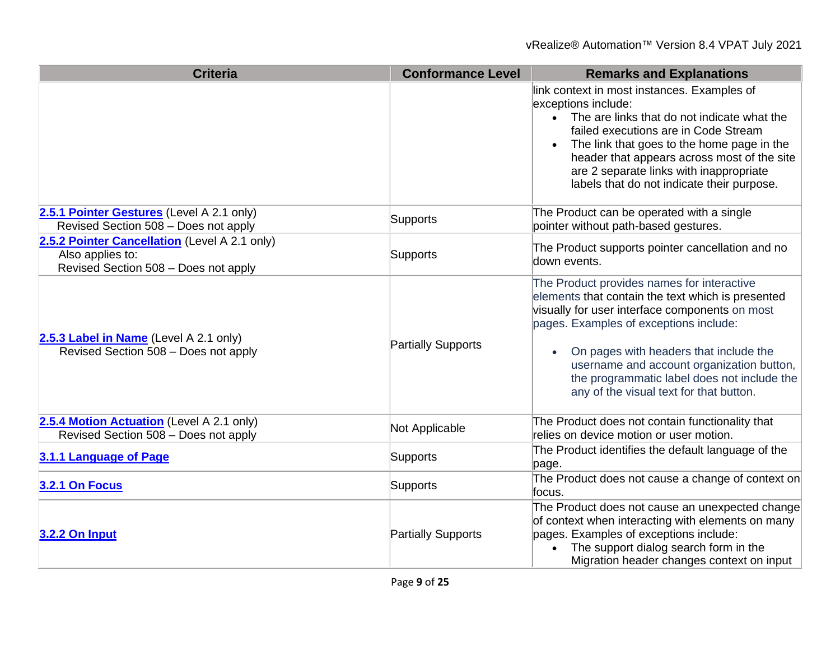| <b>Criteria</b>                                                                                           | <b>Conformance Level</b>  | <b>Remarks and Explanations</b>                                                                                                                                                                                                                                                                                                                                                           |
|-----------------------------------------------------------------------------------------------------------|---------------------------|-------------------------------------------------------------------------------------------------------------------------------------------------------------------------------------------------------------------------------------------------------------------------------------------------------------------------------------------------------------------------------------------|
|                                                                                                           |                           | link context in most instances. Examples of<br>exceptions include:<br>• The are links that do not indicate what the<br>failed executions are in Code Stream<br>The link that goes to the home page in the<br>header that appears across most of the site<br>are 2 separate links with inappropriate<br>labels that do not indicate their purpose.                                         |
| 2.5.1 Pointer Gestures (Level A 2.1 only)<br>Revised Section 508 - Does not apply                         | Supports                  | The Product can be operated with a single<br>pointer without path-based gestures.                                                                                                                                                                                                                                                                                                         |
| 2.5.2 Pointer Cancellation (Level A 2.1 only)<br>Also applies to:<br>Revised Section 508 - Does not apply | Supports                  | The Product supports pointer cancellation and no<br>down events.                                                                                                                                                                                                                                                                                                                          |
| 2.5.3 Label in Name (Level A 2.1 only)<br>Revised Section 508 - Does not apply                            | <b>Partially Supports</b> | The Product provides names for interactive<br>elements that contain the text which is presented<br>visually for user interface components on most<br>pages. Examples of exceptions include:<br>On pages with headers that include the<br>$\bullet$<br>username and account organization button,<br>the programmatic label does not include the<br>any of the visual text for that button. |
| 2.5.4 Motion Actuation (Level A 2.1 only)<br>Revised Section 508 - Does not apply                         | Not Applicable            | The Product does not contain functionality that<br>relies on device motion or user motion.                                                                                                                                                                                                                                                                                                |
| 3.1.1 Language of Page                                                                                    | Supports                  | The Product identifies the default language of the<br>page.                                                                                                                                                                                                                                                                                                                               |
| <b>3.2.1 On Focus</b>                                                                                     | Supports                  | The Product does not cause a change of context on<br>focus.                                                                                                                                                                                                                                                                                                                               |
| <b>3.2.2 On Input</b>                                                                                     | Partially Supports        | The Product does not cause an unexpected change<br>of context when interacting with elements on many<br>pages. Examples of exceptions include:<br>The support dialog search form in the<br>Migration header changes context on input                                                                                                                                                      |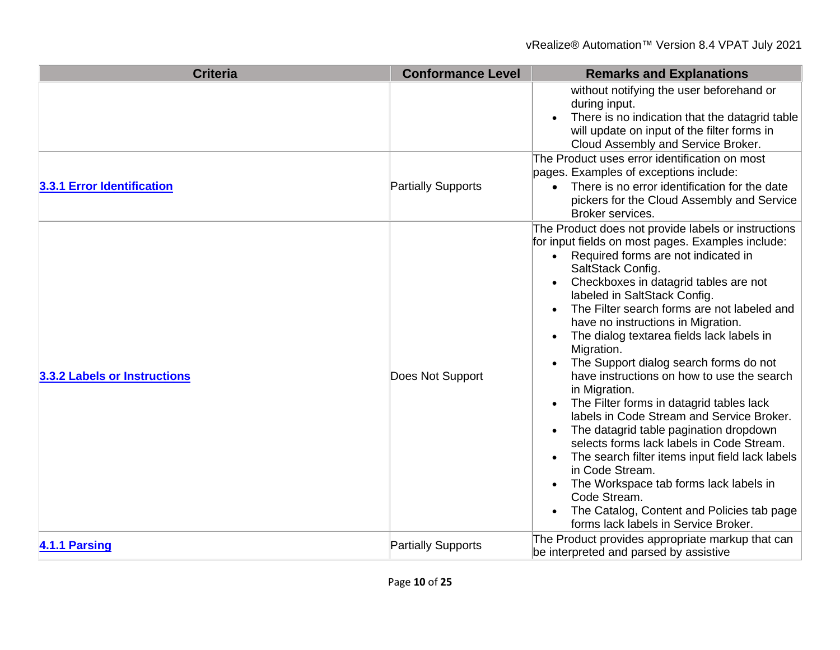| <b>Criteria</b>              | <b>Conformance Level</b>  | <b>Remarks and Explanations</b>                                                                                                                                                                                                                                                                                                                                                                                                                                                                                                                                                                                                                                                                                                                                                                                                                                                                                                                                                                                      |
|------------------------------|---------------------------|----------------------------------------------------------------------------------------------------------------------------------------------------------------------------------------------------------------------------------------------------------------------------------------------------------------------------------------------------------------------------------------------------------------------------------------------------------------------------------------------------------------------------------------------------------------------------------------------------------------------------------------------------------------------------------------------------------------------------------------------------------------------------------------------------------------------------------------------------------------------------------------------------------------------------------------------------------------------------------------------------------------------|
|                              |                           | without notifying the user beforehand or<br>during input.<br>There is no indication that the datagrid table<br>$\bullet$<br>will update on input of the filter forms in<br>Cloud Assembly and Service Broker.                                                                                                                                                                                                                                                                                                                                                                                                                                                                                                                                                                                                                                                                                                                                                                                                        |
| 3.3.1 Error Identification   | <b>Partially Supports</b> | The Product uses error identification on most<br>pages. Examples of exceptions include:<br>There is no error identification for the date<br>pickers for the Cloud Assembly and Service<br>Broker services.                                                                                                                                                                                                                                                                                                                                                                                                                                                                                                                                                                                                                                                                                                                                                                                                           |
| 3.3.2 Labels or Instructions | Does Not Support          | The Product does not provide labels or instructions<br>for input fields on most pages. Examples include:<br>Required forms are not indicated in<br>SaltStack Config.<br>Checkboxes in datagrid tables are not<br>$\bullet$<br>labeled in SaltStack Config.<br>The Filter search forms are not labeled and<br>$\bullet$<br>have no instructions in Migration.<br>The dialog textarea fields lack labels in<br>$\bullet$<br>Migration.<br>The Support dialog search forms do not<br>$\bullet$<br>have instructions on how to use the search<br>in Migration.<br>The Filter forms in datagrid tables lack<br>$\bullet$<br>labels in Code Stream and Service Broker.<br>The datagrid table pagination dropdown<br>$\bullet$<br>selects forms lack labels in Code Stream.<br>The search filter items input field lack labels<br>$\bullet$<br>in Code Stream.<br>The Workspace tab forms lack labels in<br>$\bullet$<br>Code Stream.<br>The Catalog, Content and Policies tab page<br>forms lack labels in Service Broker. |
| 4.1.1 Parsing                | <b>Partially Supports</b> | The Product provides appropriate markup that can<br>be interpreted and parsed by assistive                                                                                                                                                                                                                                                                                                                                                                                                                                                                                                                                                                                                                                                                                                                                                                                                                                                                                                                           |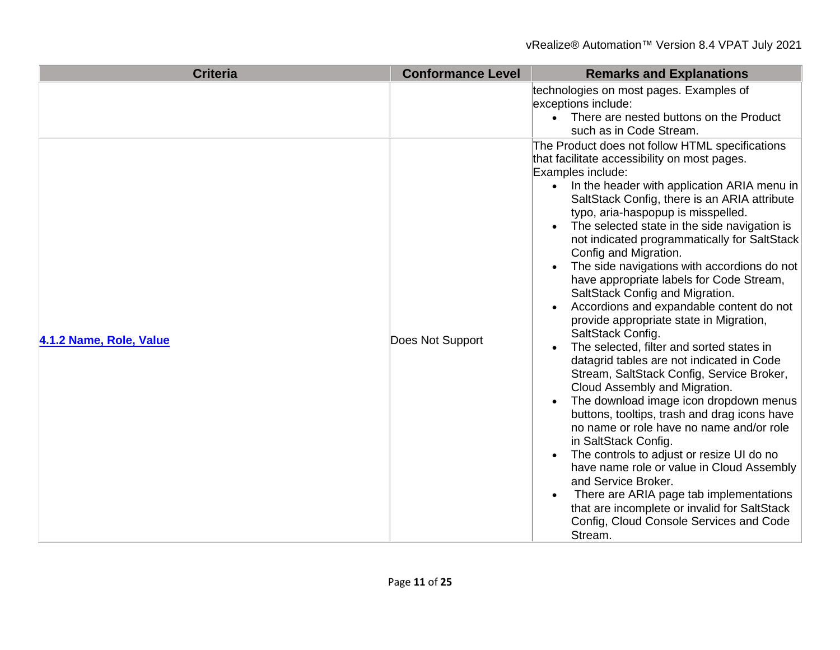| <b>Criteria</b>         | <b>Conformance Level</b> | <b>Remarks and Explanations</b>                                                                                                                                                                                                                                                                                                                                                                                                                                                                                                                                                                                                                                                                                                                                                                                                                                                                                                                                                                                                                                                                                                                                                                                                                                                                                    |
|-------------------------|--------------------------|--------------------------------------------------------------------------------------------------------------------------------------------------------------------------------------------------------------------------------------------------------------------------------------------------------------------------------------------------------------------------------------------------------------------------------------------------------------------------------------------------------------------------------------------------------------------------------------------------------------------------------------------------------------------------------------------------------------------------------------------------------------------------------------------------------------------------------------------------------------------------------------------------------------------------------------------------------------------------------------------------------------------------------------------------------------------------------------------------------------------------------------------------------------------------------------------------------------------------------------------------------------------------------------------------------------------|
|                         |                          | technologies on most pages. Examples of<br>exceptions include:<br>There are nested buttons on the Product<br>$\bullet$<br>such as in Code Stream.                                                                                                                                                                                                                                                                                                                                                                                                                                                                                                                                                                                                                                                                                                                                                                                                                                                                                                                                                                                                                                                                                                                                                                  |
| 4.1.2 Name, Role, Value | Does Not Support         | The Product does not follow HTML specifications<br>that facilitate accessibility on most pages.<br>Examples include:<br>In the header with application ARIA menu in<br>SaltStack Config, there is an ARIA attribute<br>typo, aria-haspopup is misspelled.<br>The selected state in the side navigation is<br>$\bullet$<br>not indicated programmatically for SaltStack<br>Config and Migration.<br>The side navigations with accordions do not<br>$\bullet$<br>have appropriate labels for Code Stream,<br>SaltStack Config and Migration.<br>Accordions and expandable content do not<br>provide appropriate state in Migration,<br>SaltStack Config.<br>The selected, filter and sorted states in<br>$\bullet$<br>datagrid tables are not indicated in Code<br>Stream, SaltStack Config, Service Broker,<br>Cloud Assembly and Migration.<br>The download image icon dropdown menus<br>$\bullet$<br>buttons, tooltips, trash and drag icons have<br>no name or role have no name and/or role<br>in SaltStack Config.<br>The controls to adjust or resize UI do no<br>$\bullet$<br>have name role or value in Cloud Assembly<br>and Service Broker.<br>There are ARIA page tab implementations<br>$\bullet$<br>that are incomplete or invalid for SaltStack<br>Config, Cloud Console Services and Code<br>Stream. |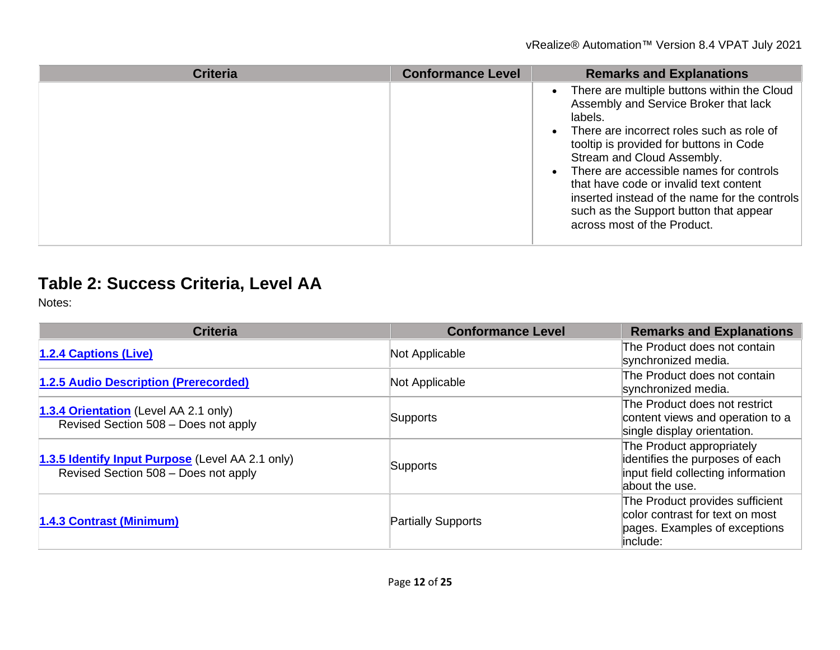| Criteria | <b>Conformance Level</b> | <b>Remarks and Explanations</b>                                                                                                                                                                                                                                                                                                                                                                                                                                  |
|----------|--------------------------|------------------------------------------------------------------------------------------------------------------------------------------------------------------------------------------------------------------------------------------------------------------------------------------------------------------------------------------------------------------------------------------------------------------------------------------------------------------|
|          |                          | • There are multiple buttons within the Cloud<br>Assembly and Service Broker that lack<br>labels.<br>There are incorrect roles such as role of<br>$\bullet$<br>tooltip is provided for buttons in Code<br>Stream and Cloud Assembly.<br>There are accessible names for controls<br>$\bullet$<br>that have code or invalid text content<br>inserted instead of the name for the controls<br>such as the Support button that appear<br>across most of the Product. |

# **Table 2: Success Criteria, Level AA**

| <b>Criteria</b>                                                                          | <b>Conformance Level</b>  | <b>Remarks and Explanations</b>                                                                                      |
|------------------------------------------------------------------------------------------|---------------------------|----------------------------------------------------------------------------------------------------------------------|
| <b>1.2.4 Captions (Live)</b>                                                             | Not Applicable            | The Product does not contain<br>synchronized media.                                                                  |
| 1.2.5 Audio Description (Prerecorded)                                                    | Not Applicable            | The Product does not contain<br>synchronized media.                                                                  |
| 1.3.4 Orientation (Level AA 2.1 only)<br>Revised Section 508 - Does not apply            | Supports                  | The Product does not restrict<br>content views and operation to a<br>single display orientation.                     |
| 1.3.5 Identify Input Purpose (Level AA 2.1 only)<br>Revised Section 508 - Does not apply | Supports                  | The Product appropriately<br>identifies the purposes of each<br>input field collecting information<br>about the use. |
| 1.4.3 Contrast (Minimum)                                                                 | <b>Partially Supports</b> | The Product provides sufficient<br>color contrast for text on most<br>pages. Examples of exceptions<br>include:      |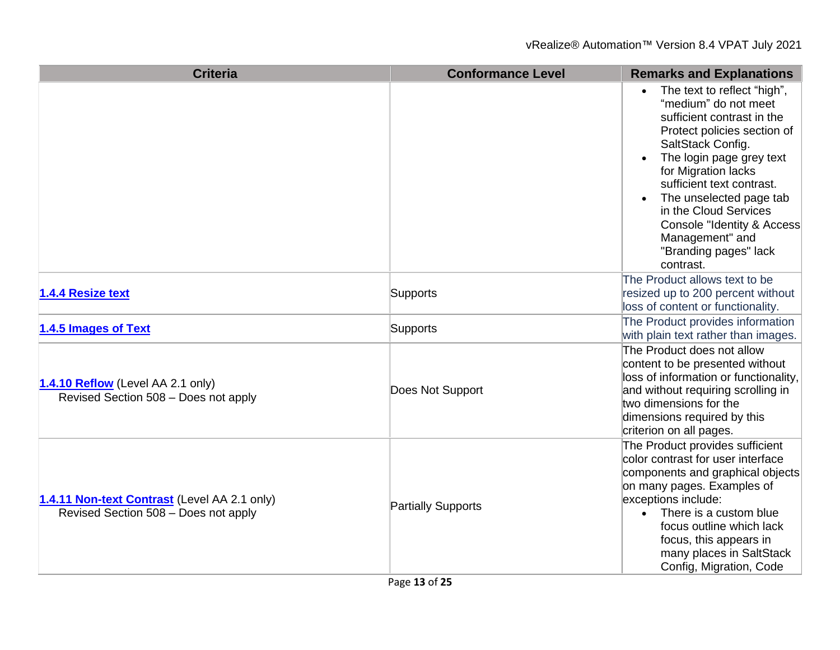| <b>Criteria</b>                                                                      | <b>Conformance Level</b>  | <b>Remarks and Explanations</b>                                                                                                                                                                                                                                                                                                                                  |
|--------------------------------------------------------------------------------------|---------------------------|------------------------------------------------------------------------------------------------------------------------------------------------------------------------------------------------------------------------------------------------------------------------------------------------------------------------------------------------------------------|
|                                                                                      |                           | The text to reflect "high",<br>"medium" do not meet<br>sufficient contrast in the<br>Protect policies section of<br>SaltStack Config.<br>The login page grey text<br>for Migration lacks<br>sufficient text contrast.<br>The unselected page tab<br>in the Cloud Services<br>Console "Identity & Access<br>Management" and<br>"Branding pages" lack<br>contrast. |
| 1.4.4 Resize text                                                                    | Supports                  | The Product allows text to be<br>resized up to 200 percent without<br>loss of content or functionality.                                                                                                                                                                                                                                                          |
| 1.4.5 Images of Text                                                                 | Supports                  | The Product provides information<br>with plain text rather than images.                                                                                                                                                                                                                                                                                          |
| 1.4.10 Reflow (Level AA 2.1 only)<br>Revised Section 508 - Does not apply            | Does Not Support          | The Product does not allow<br>content to be presented without<br>loss of information or functionality,<br>and without requiring scrolling in<br>two dimensions for the<br>dimensions required by this<br>criterion on all pages.                                                                                                                                 |
| 1.4.11 Non-text Contrast (Level AA 2.1 only)<br>Revised Section 508 - Does not apply | <b>Partially Supports</b> | The Product provides sufficient<br>color contrast for user interface<br>components and graphical objects<br>on many pages. Examples of<br>exceptions include:<br>There is a custom blue<br>$\bullet$<br>focus outline which lack<br>focus, this appears in<br>many places in SaltStack<br>Config, Migration, Code                                                |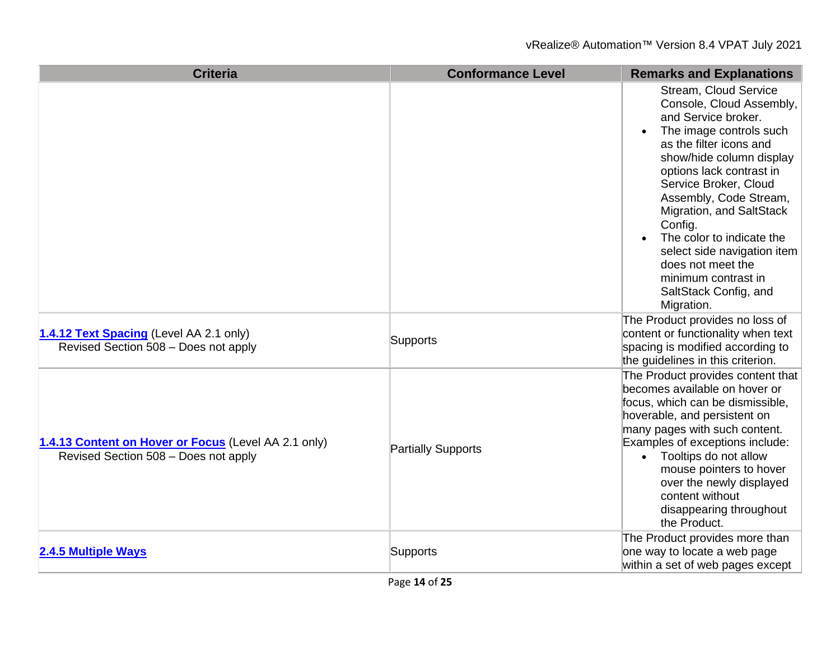| <b>Criteria</b>                                                                              | <b>Conformance Level</b> | <b>Remarks and Explanations</b>                                                                                                                                                                                                                                                                                                                                                                                                        |
|----------------------------------------------------------------------------------------------|--------------------------|----------------------------------------------------------------------------------------------------------------------------------------------------------------------------------------------------------------------------------------------------------------------------------------------------------------------------------------------------------------------------------------------------------------------------------------|
|                                                                                              |                          | <b>Stream, Cloud Service</b><br>Console, Cloud Assembly,<br>and Service broker.<br>The image controls such<br>as the filter icons and<br>show/hide column display<br>options lack contrast in<br>Service Broker, Cloud<br>Assembly, Code Stream,<br>Migration, and SaltStack<br>Config.<br>The color to indicate the<br>select side navigation item<br>does not meet the<br>minimum contrast in<br>SaltStack Config, and<br>Migration. |
| 1.4.12 Text Spacing (Level AA 2.1 only)<br>Revised Section 508 - Does not apply              | Supports                 | The Product provides no loss of<br>content or functionality when text<br>spacing is modified according to<br>the guidelines in this criterion.                                                                                                                                                                                                                                                                                         |
| 1.4.13 Content on Hover or Focus (Level AA 2.1 only)<br>Revised Section 508 - Does not apply | Partially Supports       | The Product provides content that<br>becomes available on hover or<br>focus, which can be dismissible,<br>hoverable, and persistent on<br>many pages with such content.<br>Examples of exceptions include:<br>• Tooltips do not allow<br>mouse pointers to hover<br>over the newly displayed<br>content without<br>disappearing throughout<br>the Product.                                                                             |
| 2.4.5 Multiple Ways                                                                          | Supports                 | The Product provides more than<br>one way to locate a web page<br>within a set of web pages except                                                                                                                                                                                                                                                                                                                                     |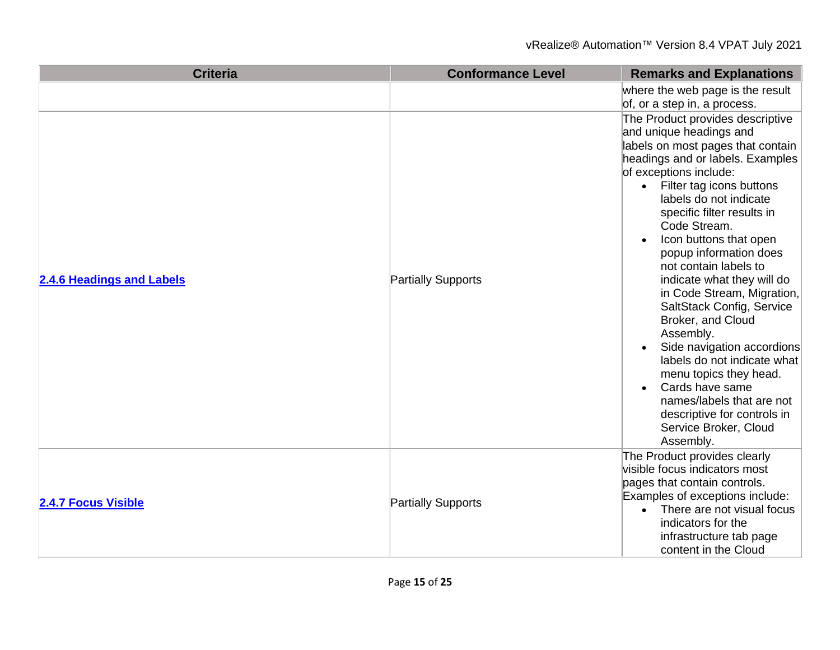| <b>Criteria</b>            | <b>Conformance Level</b> | <b>Remarks and Explanations</b>                                                                                                                                                                                                                                                                                                                                                                                                                                                                                                                                                                                                                                                                     |
|----------------------------|--------------------------|-----------------------------------------------------------------------------------------------------------------------------------------------------------------------------------------------------------------------------------------------------------------------------------------------------------------------------------------------------------------------------------------------------------------------------------------------------------------------------------------------------------------------------------------------------------------------------------------------------------------------------------------------------------------------------------------------------|
|                            |                          | where the web page is the result<br>of, or a step in, a process.                                                                                                                                                                                                                                                                                                                                                                                                                                                                                                                                                                                                                                    |
| 2.4.6 Headings and Labels  | Partially Supports       | The Product provides descriptive<br>and unique headings and<br>labels on most pages that contain<br>headings and or labels. Examples<br>of exceptions include:<br>Filter tag icons buttons<br>$\bullet$<br>labels do not indicate<br>specific filter results in<br>Code Stream.<br>Icon buttons that open<br>popup information does<br>not contain labels to<br>indicate what they will do<br>in Code Stream, Migration,<br>SaltStack Config, Service<br>Broker, and Cloud<br>Assembly.<br>Side navigation accordions<br>labels do not indicate what<br>menu topics they head.<br>Cards have same<br>names/labels that are not<br>descriptive for controls in<br>Service Broker, Cloud<br>Assembly. |
| <b>2.4.7 Focus Visible</b> | Partially Supports       | The Product provides clearly<br>visible focus indicators most<br>pages that contain controls.<br>Examples of exceptions include:<br>There are not visual focus<br>$\bullet$<br>indicators for the<br>infrastructure tab page<br>content in the Cloud                                                                                                                                                                                                                                                                                                                                                                                                                                                |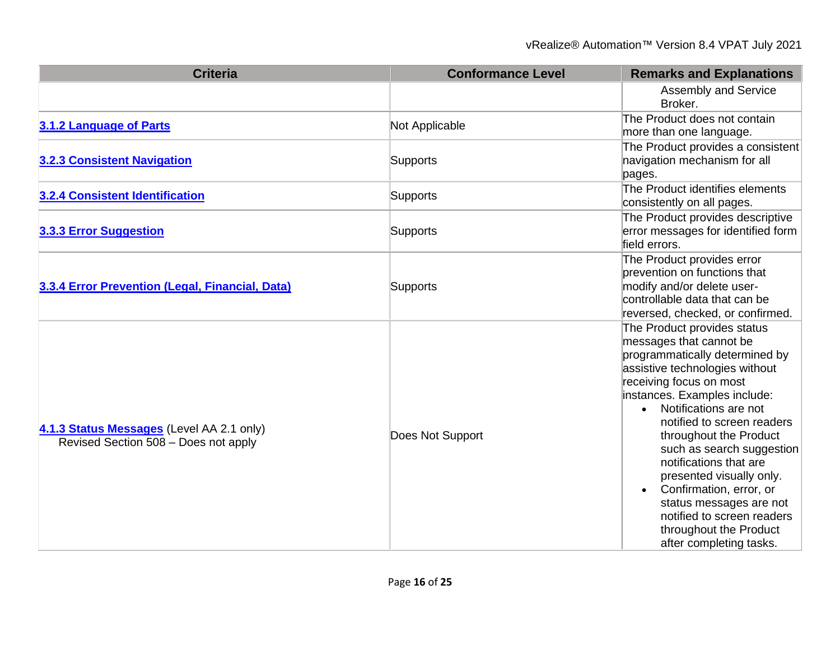| <b>Criteria</b>                                                                   | <b>Conformance Level</b> | <b>Remarks and Explanations</b>                                                                                                                                                                                                                                                                                                                                                                                                                                                                      |
|-----------------------------------------------------------------------------------|--------------------------|------------------------------------------------------------------------------------------------------------------------------------------------------------------------------------------------------------------------------------------------------------------------------------------------------------------------------------------------------------------------------------------------------------------------------------------------------------------------------------------------------|
|                                                                                   |                          | Assembly and Service<br>Broker.                                                                                                                                                                                                                                                                                                                                                                                                                                                                      |
| 3.1.2 Language of Parts                                                           | Not Applicable           | The Product does not contain<br>more than one language.                                                                                                                                                                                                                                                                                                                                                                                                                                              |
| <b>3.2.3 Consistent Navigation</b>                                                | Supports                 | The Product provides a consistent<br>navigation mechanism for all<br>pages.                                                                                                                                                                                                                                                                                                                                                                                                                          |
| 3.2.4 Consistent Identification                                                   | <b>Supports</b>          | The Product identifies elements<br>consistently on all pages.                                                                                                                                                                                                                                                                                                                                                                                                                                        |
| 3.3.3 Error Suggestion                                                            | Supports                 | The Product provides descriptive<br>error messages for identified form<br>field errors.                                                                                                                                                                                                                                                                                                                                                                                                              |
| 3.3.4 Error Prevention (Legal, Financial, Data)                                   | Supports                 | The Product provides error<br>prevention on functions that<br>modify and/or delete user-<br>controllable data that can be<br>reversed, checked, or confirmed.                                                                                                                                                                                                                                                                                                                                        |
| 4.1.3 Status Messages (Level AA 2.1 only)<br>Revised Section 508 - Does not apply | Does Not Support         | The Product provides status<br>messages that cannot be<br>programmatically determined by<br>assistive technologies without<br>receiving focus on most<br>instances. Examples include:<br>• Notifications are not<br>notified to screen readers<br>throughout the Product<br>such as search suggestion<br>notifications that are<br>presented visually only.<br>Confirmation, error, or<br>status messages are not<br>notified to screen readers<br>throughout the Product<br>after completing tasks. |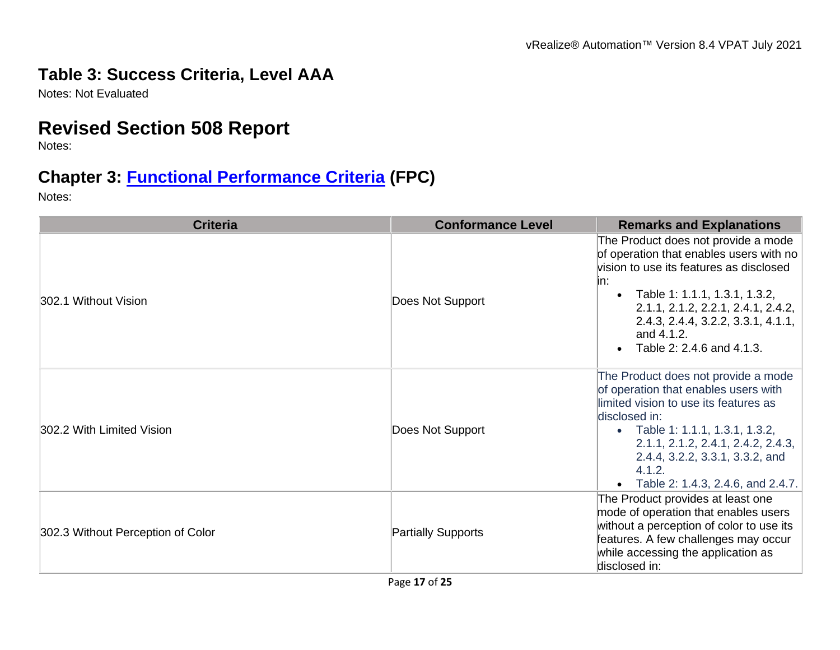#### **Table 3: Success Criteria, Level AAA**

Notes: Not Evaluated

## **Revised Section 508 Report**

Notes:

## **Chapter 3: [Functional Performance Criteria](https://www.access-board.gov/guidelines-and-standards/communications-and-it/about-the-ict-refresh/final-rule/text-of-the-standards-and-guidelines#302-functional-performance-criteria) (FPC)**

| <b>Criteria</b>                   | <b>Conformance Level</b>  | <b>Remarks and Explanations</b>                                                                                                                                                                                                                                                                  |
|-----------------------------------|---------------------------|--------------------------------------------------------------------------------------------------------------------------------------------------------------------------------------------------------------------------------------------------------------------------------------------------|
| 302.1 Without Vision              | Does Not Support          | The Product does not provide a mode<br>of operation that enables users with no<br>vision to use its features as disclosed<br>in:<br>• Table 1: 1.1.1, 1.3.1, 1.3.2,<br>2.1.1, 2.1.2, 2.2.1, 2.4.1, 2.4.2,<br>2.4.3, 2.4.4, 3.2.2, 3.3.1, 4.1.1,<br>and 4.1.2.<br>Table 2: 2.4.6 and 4.1.3.       |
| 302.2 With Limited Vision         | Does Not Support          | The Product does not provide a mode<br>of operation that enables users with<br>limited vision to use its features as<br>disclosed in:<br>• Table 1: 1.1.1, 1.3.1, 1.3.2,<br>2.1.1, 2.1.2, 2.4.1, 2.4.2, 2.4.3,<br>2.4.4, 3.2.2, 3.3.1, 3.3.2, and<br>4.1.2.<br>Table 2: 1.4.3, 2.4.6, and 2.4.7. |
| 302.3 Without Perception of Color | <b>Partially Supports</b> | The Product provides at least one<br>mode of operation that enables users<br>without a perception of color to use its<br>features. A few challenges may occur<br>while accessing the application as<br>disclosed in:                                                                             |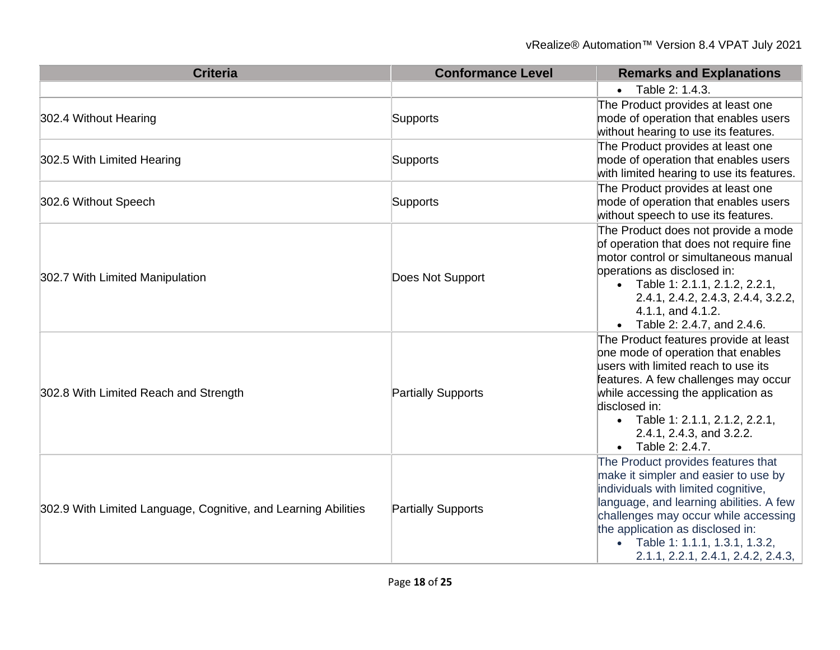#### vRealize® Automation™ Version 8.4 VPAT July 2021

| <b>Criteria</b>                                                | <b>Conformance Level</b>  | <b>Remarks and Explanations</b>                                                                                                                                                                                                                                                                                   |
|----------------------------------------------------------------|---------------------------|-------------------------------------------------------------------------------------------------------------------------------------------------------------------------------------------------------------------------------------------------------------------------------------------------------------------|
|                                                                |                           | Table 2: 1.4.3.                                                                                                                                                                                                                                                                                                   |
| 302.4 Without Hearing                                          | <b>Supports</b>           | The Product provides at least one<br>mode of operation that enables users<br>without hearing to use its features.                                                                                                                                                                                                 |
| 302.5 With Limited Hearing                                     | <b>Supports</b>           | The Product provides at least one<br>mode of operation that enables users<br>with limited hearing to use its features.                                                                                                                                                                                            |
| 302.6 Without Speech                                           | Supports                  | The Product provides at least one<br>mode of operation that enables users<br>without speech to use its features.                                                                                                                                                                                                  |
| 302.7 With Limited Manipulation                                | Does Not Support          | The Product does not provide a mode<br>of operation that does not require fine<br>motor control or simultaneous manual<br>operations as disclosed in:<br>• Table 1: 2.1.1, 2.1.2, 2.2.1,<br>2.4.1, 2.4.2, 2.4.3, 2.4.4, 3.2.2,<br>4.1.1, and 4.1.2.<br>• Table 2: 2.4.7, and 2.4.6.                               |
| 302.8 With Limited Reach and Strength                          | <b>Partially Supports</b> | The Product features provide at least<br>one mode of operation that enables<br>users with limited reach to use its<br>features. A few challenges may occur<br>while accessing the application as<br>disclosed in:<br>• Table 1: 2.1.1, 2.1.2, 2.2.1,<br>2.4.1, 2.4.3, and 3.2.2.<br>• Table 2: 2.4.7.             |
| 302.9 With Limited Language, Cognitive, and Learning Abilities | <b>Partially Supports</b> | The Product provides features that<br>make it simpler and easier to use by<br>individuals with limited cognitive,<br>language, and learning abilities. A few<br>challenges may occur while accessing<br>the application as disclosed in:<br>• Table 1: 1.1.1, 1.3.1, 1.3.2,<br>2.1.1, 2.2.1, 2.4.1, 2.4.2, 2.4.3, |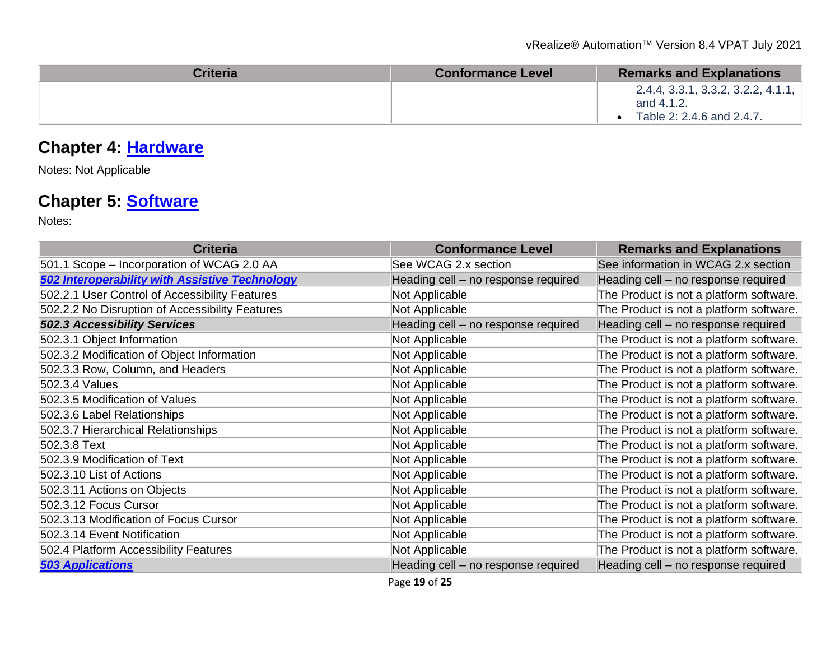| <b>Criteria</b> | <b>Conformance Level</b> | <b>Remarks and Explanations</b>                  |
|-----------------|--------------------------|--------------------------------------------------|
|                 |                          | 2.4.4, 3.3.1, 3.3.2, 3.2.2, 4.1.1,<br>and 4.1.2. |
|                 |                          | Table 2: 2.4.6 and 2.4.7.                        |

## **Chapter 4: [Hardware](https://www.access-board.gov/guidelines-and-standards/communications-and-it/about-the-ict-refresh/final-rule/text-of-the-standards-and-guidelines#401-general)**

Notes: Not Applicable

## **Chapter 5: [Software](https://www.access-board.gov/guidelines-and-standards/communications-and-it/about-the-ict-refresh/final-rule/text-of-the-standards-and-guidelines#501-general)**

| <b>Criteria</b>                                       | <b>Conformance Level</b>            | <b>Remarks and Explanations</b>         |
|-------------------------------------------------------|-------------------------------------|-----------------------------------------|
| 501.1 Scope - Incorporation of WCAG 2.0 AA            | See WCAG 2.x section                | See information in WCAG 2.x section     |
| <b>502 Interoperability with Assistive Technology</b> | Heading cell - no response required | Heading cell - no response required     |
| 502.2.1 User Control of Accessibility Features        | Not Applicable                      | The Product is not a platform software. |
| 502.2.2 No Disruption of Accessibility Features       | Not Applicable                      | The Product is not a platform software. |
| <b>502.3 Accessibility Services</b>                   | Heading cell - no response required | Heading cell - no response required     |
| 502.3.1 Object Information                            | Not Applicable                      | The Product is not a platform software. |
| 502.3.2 Modification of Object Information            | Not Applicable                      | The Product is not a platform software. |
| 502.3.3 Row, Column, and Headers                      | Not Applicable                      | The Product is not a platform software. |
| 502.3.4 Values                                        | Not Applicable                      | The Product is not a platform software. |
| 502.3.5 Modification of Values                        | Not Applicable                      | The Product is not a platform software. |
| 502.3.6 Label Relationships                           | Not Applicable                      | The Product is not a platform software. |
| 502.3.7 Hierarchical Relationships                    | Not Applicable                      | The Product is not a platform software. |
| 502.3.8 Text                                          | Not Applicable                      | The Product is not a platform software. |
| 502.3.9 Modification of Text                          | Not Applicable                      | The Product is not a platform software. |
| 502.3.10 List of Actions                              | Not Applicable                      | The Product is not a platform software. |
| 502.3.11 Actions on Objects                           | Not Applicable                      | The Product is not a platform software. |
| 502.3.12 Focus Cursor                                 | Not Applicable                      | The Product is not a platform software. |
| 502.3.13 Modification of Focus Cursor                 | Not Applicable                      | The Product is not a platform software. |
| 502.3.14 Event Notification                           | Not Applicable                      | The Product is not a platform software. |
| 502.4 Platform Accessibility Features                 | Not Applicable                      | The Product is not a platform software. |
| <b>503 Applications</b>                               | Heading cell - no response required | Heading cell - no response required     |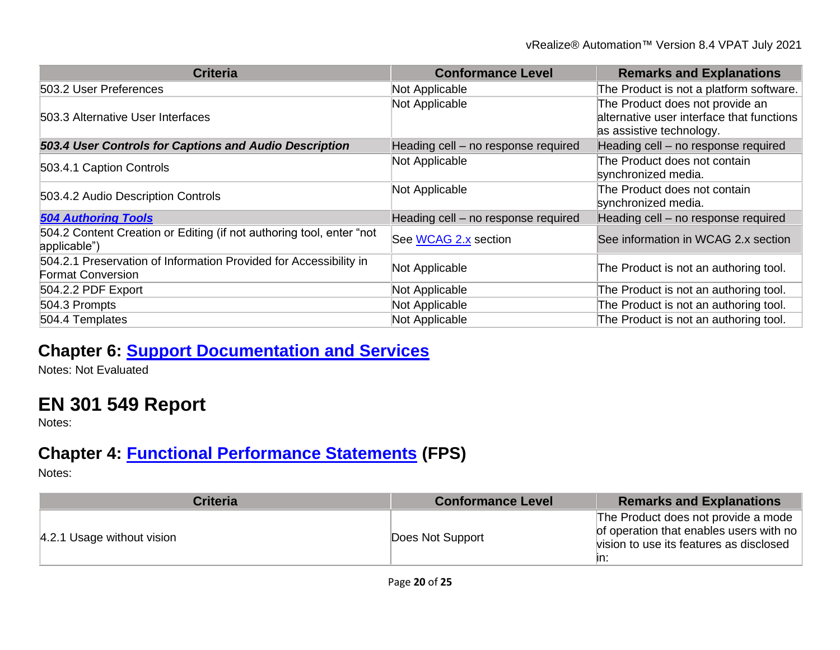| <b>Criteria</b>                                                                               | <b>Conformance Level</b>            | <b>Remarks and Explanations</b>                                                                          |
|-----------------------------------------------------------------------------------------------|-------------------------------------|----------------------------------------------------------------------------------------------------------|
| 503.2 User Preferences                                                                        | Not Applicable                      | The Product is not a platform software.                                                                  |
| 503.3 Alternative User Interfaces                                                             | Not Applicable                      | The Product does not provide an<br>alternative user interface that functions<br>as assistive technology. |
| 503.4 User Controls for Captions and Audio Description                                        | Heading cell - no response required | Heading cell - no response required                                                                      |
| 503.4.1 Caption Controls                                                                      | Not Applicable                      | The Product does not contain<br>synchronized media.                                                      |
| 503.4.2 Audio Description Controls                                                            | Not Applicable                      | The Product does not contain<br>synchronized media.                                                      |
| <b>504 Authoring Tools</b>                                                                    | Heading cell - no response required | Heading cell - no response required                                                                      |
| 504.2 Content Creation or Editing (if not authoring tool, enter "not<br>applicable")          | See WCAG 2.x section                | See information in WCAG 2.x section                                                                      |
| 504.2.1 Preservation of Information Provided for Accessibility in<br><b>Format Conversion</b> | Not Applicable                      | The Product is not an authoring tool.                                                                    |
| 504.2.2 PDF Export                                                                            | Not Applicable                      | The Product is not an authoring tool.                                                                    |
| 504.3 Prompts                                                                                 | Not Applicable                      | The Product is not an authoring tool.                                                                    |
| 504.4 Templates                                                                               | Not Applicable                      | The Product is not an authoring tool.                                                                    |

## **Chapter 6: [Support Documentation and Services](https://www.access-board.gov/guidelines-and-standards/communications-and-it/about-the-ict-refresh/final-rule/text-of-the-standards-and-guidelines#601-general)**

Notes: Not Evaluated

# **EN 301 549 Report**

Notes:

## **Chapter 4: [Functional Performance Statements](https://www.etsi.org/deliver/etsi_en/301500_301599/301549/03.01.01_60/en_301549v030101p.pdf#%5B%7B%22num%22%3A38%2C%22gen%22%3A0%7D%2C%7B%22name%22%3A%22XYZ%22%7D%2C54%2C747%2C0%5D) (FPS)**

| <b>Criteria</b>            | <b>Conformance Level</b> | <b>Remarks and Explanations</b>                                                                                                  |
|----------------------------|--------------------------|----------------------------------------------------------------------------------------------------------------------------------|
| 4.2.1 Usage without vision | Does Not Support         | The Product does not provide a mode<br>of operation that enables users with no<br>vision to use its features as disclosed<br>In: |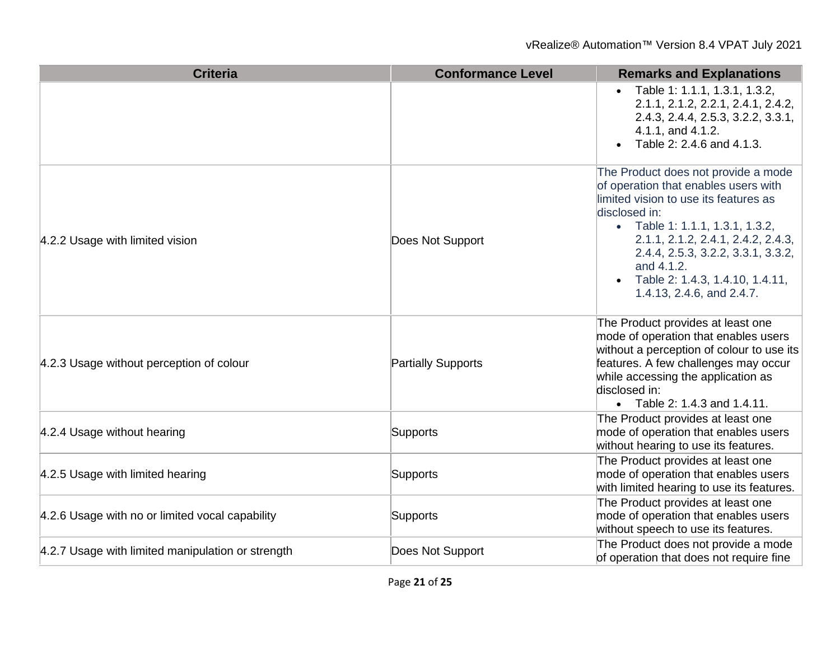| <b>Criteria</b>                                   | <b>Conformance Level</b>  | <b>Remarks and Explanations</b>                                                                                                                                                                                                                                                                                                      |
|---------------------------------------------------|---------------------------|--------------------------------------------------------------------------------------------------------------------------------------------------------------------------------------------------------------------------------------------------------------------------------------------------------------------------------------|
|                                                   |                           | • Table 1: 1.1.1, 1.3.1, 1.3.2,<br>2.1.1, 2.1.2, 2.2.1, 2.4.1, 2.4.2,<br>2.4.3, 2.4.4, 2.5.3, 3.2.2, 3.3.1,<br>4.1.1, and 4.1.2.<br>Table 2: 2.4.6 and 4.1.3.                                                                                                                                                                        |
| 4.2.2 Usage with limited vision                   | Does Not Support          | The Product does not provide a mode<br>of operation that enables users with<br>limited vision to use its features as<br>disclosed in:<br>• Table 1: 1.1.1, 1.3.1, 1.3.2,<br>2.1.1, 2.1.2, 2.4.1, 2.4.2, 2.4.3,<br>2.4.4, 2.5.3, 3.2.2, 3.3.1, 3.3.2,<br>and 4.1.2.<br>• Table 2: 1.4.3, 1.4.10, 1.4.11,<br>1.4.13, 2.4.6, and 2.4.7. |
| 4.2.3 Usage without perception of colour          | <b>Partially Supports</b> | The Product provides at least one<br>mode of operation that enables users<br>without a perception of colour to use its<br>features. A few challenges may occur<br>while accessing the application as<br>disclosed in:<br>• Table 2: 1.4.3 and 1.4.11.                                                                                |
| 4.2.4 Usage without hearing                       | Supports                  | The Product provides at least one<br>mode of operation that enables users<br>without hearing to use its features.                                                                                                                                                                                                                    |
| 4.2.5 Usage with limited hearing                  | Supports                  | The Product provides at least one<br>mode of operation that enables users<br>with limited hearing to use its features.                                                                                                                                                                                                               |
| 4.2.6 Usage with no or limited vocal capability   | <b>Supports</b>           | The Product provides at least one<br>mode of operation that enables users<br>without speech to use its features.                                                                                                                                                                                                                     |
| 4.2.7 Usage with limited manipulation or strength | Does Not Support          | The Product does not provide a mode<br>of operation that does not require fine                                                                                                                                                                                                                                                       |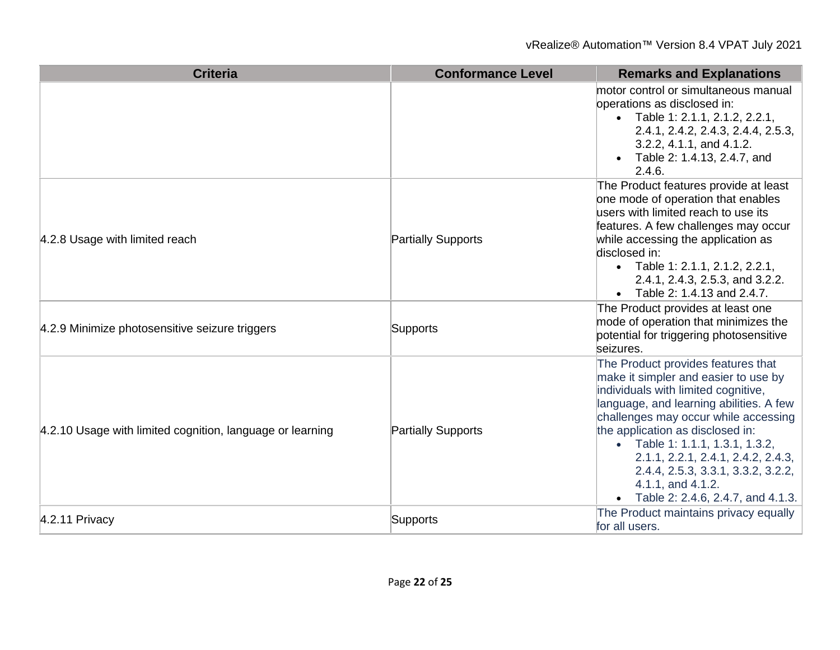| <b>Criteria</b>                                           | <b>Conformance Level</b>  | <b>Remarks and Explanations</b>                                                                                                                                                                                                                                                                                                                                                                                     |
|-----------------------------------------------------------|---------------------------|---------------------------------------------------------------------------------------------------------------------------------------------------------------------------------------------------------------------------------------------------------------------------------------------------------------------------------------------------------------------------------------------------------------------|
|                                                           |                           | motor control or simultaneous manual<br>operations as disclosed in:<br>• Table 1: 2.1.1, 2.1.2, 2.2.1,<br>2.4.1, 2.4.2, 2.4.3, 2.4.4, 2.5.3,<br>3.2.2, 4.1.1, and 4.1.2.<br>• Table 2: 1.4.13, 2.4.7, and<br>2.4.6.                                                                                                                                                                                                 |
| 4.2.8 Usage with limited reach                            | <b>Partially Supports</b> | The Product features provide at least<br>one mode of operation that enables<br>users with limited reach to use its<br>features. A few challenges may occur<br>while accessing the application as<br>disclosed in:<br>• Table 1: 2.1.1, 2.1.2, 2.2.1,<br>2.4.1, 2.4.3, 2.5.3, and 3.2.2.<br>• Table 2: 1.4.13 and 2.4.7.                                                                                             |
| 4.2.9 Minimize photosensitive seizure triggers            | Supports                  | The Product provides at least one<br>mode of operation that minimizes the<br>potential for triggering photosensitive<br>seizures.                                                                                                                                                                                                                                                                                   |
| 4.2.10 Usage with limited cognition, language or learning | <b>Partially Supports</b> | The Product provides features that<br>make it simpler and easier to use by<br>individuals with limited cognitive,<br>language, and learning abilities. A few<br>challenges may occur while accessing<br>the application as disclosed in:<br>• Table 1: 1.1.1, 1.3.1, 1.3.2,<br>2.1.1, 2.2.1, 2.4.1, 2.4.2, 2.4.3,<br>2.4.4, 2.5.3, 3.3.1, 3.3.2, 3.2.2,<br>4.1.1, and 4.1.2.<br>• Table 2: 2.4.6, 2.4.7, and 4.1.3. |
| $4.2.11$ Privacy                                          | Supports                  | The Product maintains privacy equally<br>for all users.                                                                                                                                                                                                                                                                                                                                                             |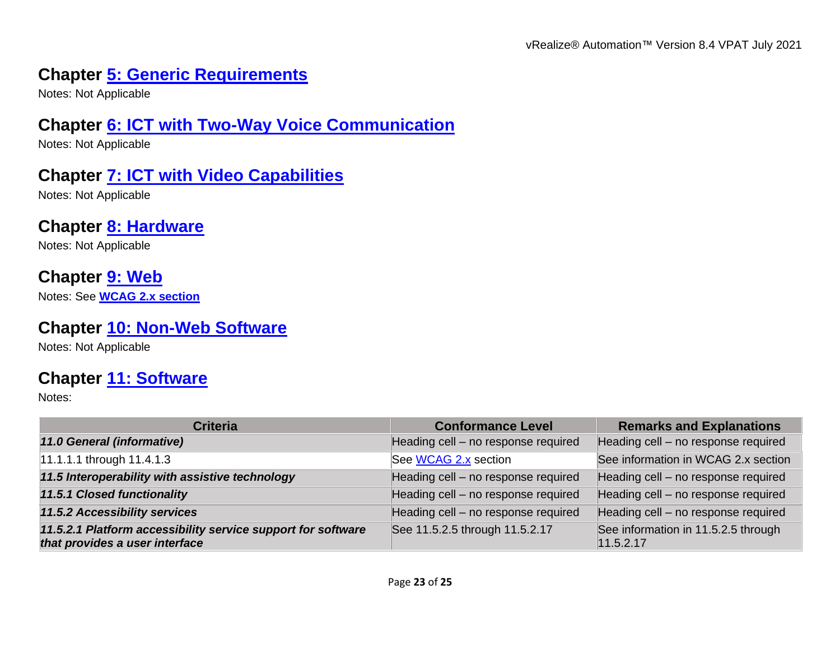## **Chapter [5: Generic Requirements](https://www.etsi.org/deliver/etsi_en/301500_301599/301549/03.01.01_60/en_301549v030101p.pdf#%5B%7B%22num%22%3A45%2C%22gen%22%3A0%7D%2C%7B%22name%22%3A%22XYZ%22%7D%2C54%2C747%2C0%5D)**

Notes: Not Applicable

#### **Chapter [6: ICT with Two-Way Voice Communication](https://www.etsi.org/deliver/etsi_en/301500_301599/301549/03.01.01_60/en_301549v030101p.pdf#%5B%7B%22num%22%3A60%2C%22gen%22%3A0%7D%2C%7B%22name%22%3A%22XYZ%22%7D%2C54%2C747%2C0%5D)**

Notes: Not Applicable

#### **Chapter [7: ICT with Video Capabilities](https://www.etsi.org/deliver/etsi_en/301500_301599/301549/03.01.01_60/en_301549v030101p.pdf#%5B%7B%22num%22%3A70%2C%22gen%22%3A0%7D%2C%7B%22name%22%3A%22XYZ%22%7D%2C54%2C747%2C0%5D)**

Notes: Not Applicable

# **Chapter [8: Hardware](https://www.etsi.org/deliver/etsi_en/301500_301599/301549/03.01.01_60/en_301549v030101p.pdf#%5B%7B%22num%22%3A74%2C%22gen%22%3A0%7D%2C%7B%22name%22%3A%22XYZ%22%7D%2C54%2C747%2C0%5D)**

Notes: Not Applicable

## **Chapter [9: Web](https://www.etsi.org/deliver/etsi_en/301500_301599/301549/03.01.01_60/en_301549v030101p.pdf#%5B%7B%22num%22%3A113%2C%22gen%22%3A0%7D%2C%7B%22name%22%3A%22XYZ%22%7D%2C54%2C747%2C0%5D)**

Notes: See **[WCAG 2.x section](#page-2-0)**

#### **Chapter [10: Non-Web Software](https://www.etsi.org/deliver/etsi_en/301500_301599/301549/03.01.01_60/en_301549v030101p.pdf#%5B%7B%22num%22%3A127%2C%22gen%22%3A0%7D%2C%7B%22name%22%3A%22XYZ%22%7D%2C54%2C747%2C0%5D)**

Notes: Not Applicable

## **Chapter [11: Software](https://www.etsi.org/deliver/etsi_en/301500_301599/301549/03.01.01_60/en_301549v030101p.pdf#%5B%7B%22num%22%3A149%2C%22gen%22%3A0%7D%2C%7B%22name%22%3A%22XYZ%22%7D%2C54%2C747%2C0%5D)**

| <b>Criteria</b>                                                                                | <b>Conformance Level</b>            | <b>Remarks and Explanations</b>                  |
|------------------------------------------------------------------------------------------------|-------------------------------------|--------------------------------------------------|
| 11.0 General (informative)                                                                     | Heading cell - no response required | Heading cell - no response required              |
| 11.1.1.1 through 11.4.1.3                                                                      | See WCAG 2.x section                | See information in WCAG 2.x section              |
| 11.5 Interoperability with assistive technology                                                | Heading cell - no response required | Heading cell - no response required              |
| 11.5.1 Closed functionality                                                                    | Heading cell - no response required | Heading cell - no response required              |
| 11.5.2 Accessibility services                                                                  | Heading cell - no response required | Heading cell - no response required              |
| 11.5.2.1 Platform accessibility service support for software<br>that provides a user interface | See 11.5.2.5 through 11.5.2.17      | See information in 11.5.2.5 through<br>11.5.2.17 |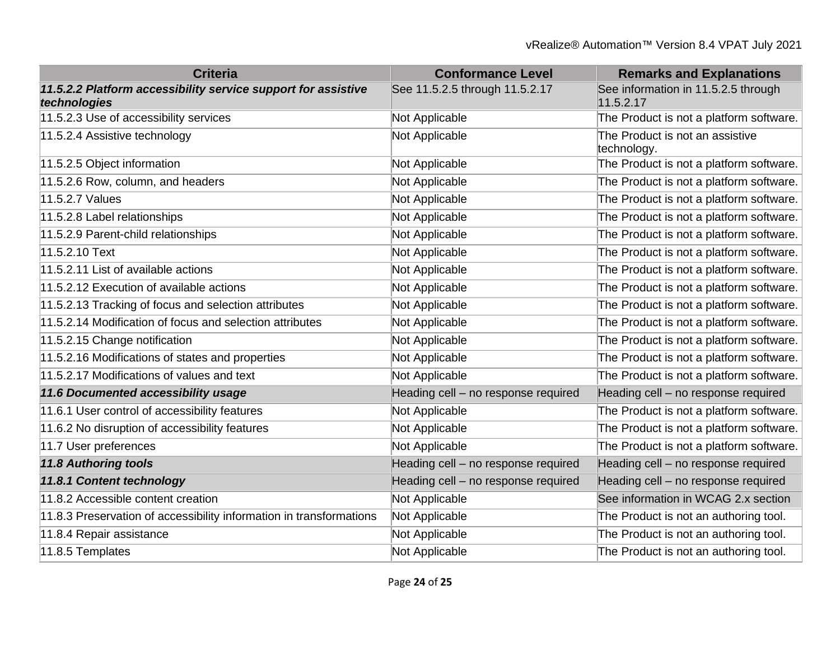| <b>Criteria</b>                                                               | <b>Conformance Level</b>            | <b>Remarks and Explanations</b>                  |
|-------------------------------------------------------------------------------|-------------------------------------|--------------------------------------------------|
| 11.5.2.2 Platform accessibility service support for assistive<br>technologies | See 11.5.2.5 through 11.5.2.17      | See information in 11.5.2.5 through<br>11.5.2.17 |
| 11.5.2.3 Use of accessibility services                                        | Not Applicable                      | The Product is not a platform software.          |
| 11.5.2.4 Assistive technology                                                 | Not Applicable                      | The Product is not an assistive<br>technology.   |
| 11.5.2.5 Object information                                                   | Not Applicable                      | The Product is not a platform software.          |
| 11.5.2.6 Row, column, and headers                                             | Not Applicable                      | The Product is not a platform software.          |
| 11.5.2.7 Values                                                               | Not Applicable                      | The Product is not a platform software.          |
| 11.5.2.8 Label relationships                                                  | Not Applicable                      | The Product is not a platform software.          |
| 11.5.2.9 Parent-child relationships                                           | Not Applicable                      | The Product is not a platform software.          |
| 11.5.2.10 Text                                                                | Not Applicable                      | The Product is not a platform software.          |
| 11.5.2.11 List of available actions                                           | Not Applicable                      | The Product is not a platform software.          |
| 11.5.2.12 Execution of available actions                                      | Not Applicable                      | The Product is not a platform software.          |
| 11.5.2.13 Tracking of focus and selection attributes                          | Not Applicable                      | The Product is not a platform software.          |
| 11.5.2.14 Modification of focus and selection attributes                      | Not Applicable                      | The Product is not a platform software.          |
| 11.5.2.15 Change notification                                                 | Not Applicable                      | The Product is not a platform software.          |
| 11.5.2.16 Modifications of states and properties                              | Not Applicable                      | The Product is not a platform software.          |
| 11.5.2.17 Modifications of values and text                                    | Not Applicable                      | The Product is not a platform software.          |
| 11.6 Documented accessibility usage                                           | Heading cell - no response required | Heading cell - no response required              |
| 11.6.1 User control of accessibility features                                 | Not Applicable                      | The Product is not a platform software.          |
| 11.6.2 No disruption of accessibility features                                | Not Applicable                      | The Product is not a platform software.          |
| 11.7 User preferences                                                         | Not Applicable                      | The Product is not a platform software.          |
| <b>11.8 Authoring tools</b>                                                   | Heading cell - no response required | Heading cell - no response required              |
| 11.8.1 Content technology                                                     | Heading cell - no response required | Heading cell - no response required              |
| 11.8.2 Accessible content creation                                            | Not Applicable                      | See information in WCAG 2.x section              |
| 11.8.3 Preservation of accessibility information in transformations           | Not Applicable                      | The Product is not an authoring tool.            |
| 11.8.4 Repair assistance                                                      | Not Applicable                      | The Product is not an authoring tool.            |
| 11.8.5 Templates                                                              | Not Applicable                      | The Product is not an authoring tool.            |